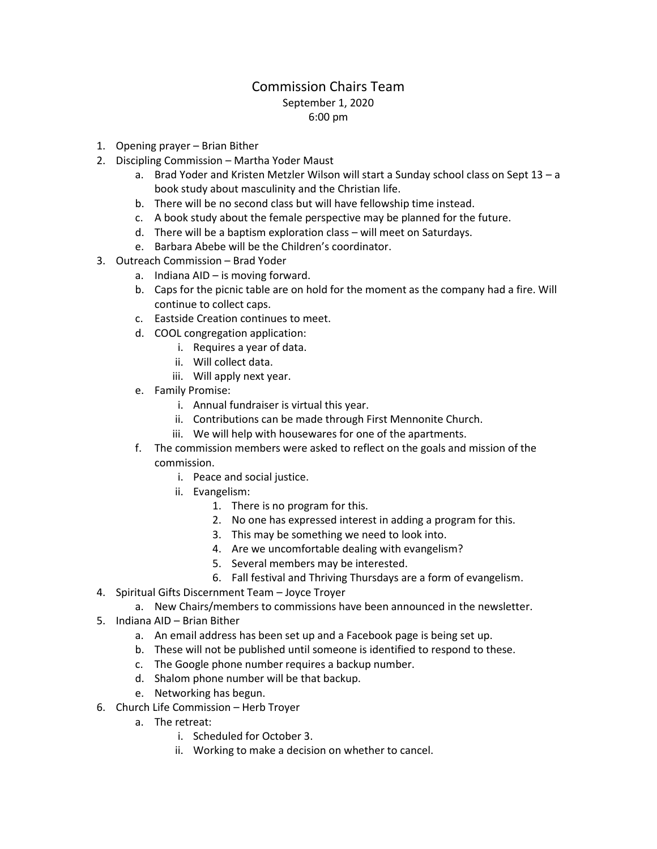## Commission Chairs Team September 1, 2020 6:00 pm

- 1. Opening prayer Brian Bither
- 2. Discipling Commission Martha Yoder Maust
	- a. Brad Yoder and Kristen Metzler Wilson will start a Sunday school class on Sept 13 a book study about masculinity and the Christian life.
	- b. There will be no second class but will have fellowship time instead.
	- c. A book study about the female perspective may be planned for the future.
	- d. There will be a baptism exploration class will meet on Saturdays.
	- e. Barbara Abebe will be the Children's coordinator.
- 3. Outreach Commission Brad Yoder
	- a. Indiana AID is moving forward.
	- b. Caps for the picnic table are on hold for the moment as the company had a fire. Will continue to collect caps.
	- c. Eastside Creation continues to meet.
	- d. COOL congregation application:
		- i. Requires a year of data.
		- ii. Will collect data.
		- iii. Will apply next year.
	- e. Family Promise:
		- i. Annual fundraiser is virtual this year.
		- ii. Contributions can be made through First Mennonite Church.
		- iii. We will help with housewares for one of the apartments.
	- f. The commission members were asked to reflect on the goals and mission of the commission.
		- i. Peace and social justice.
		- ii. Evangelism:
			- 1. There is no program for this.
			- 2. No one has expressed interest in adding a program for this.
			- 3. This may be something we need to look into.
			- 4. Are we uncomfortable dealing with evangelism?
			- 5. Several members may be interested.
			- 6. Fall festival and Thriving Thursdays are a form of evangelism.
- 4. Spiritual Gifts Discernment Team Joyce Troyer
	- a. New Chairs/members to commissions have been announced in the newsletter.
- 5. Indiana AID Brian Bither
	- a. An email address has been set up and a Facebook page is being set up.
	- b. These will not be published until someone is identified to respond to these.
	- c. The Google phone number requires a backup number.
	- d. Shalom phone number will be that backup.
	- e. Networking has begun.
- 6. Church Life Commission Herb Troyer
	- a. The retreat:
		- i. Scheduled for October 3.
		- ii. Working to make a decision on whether to cancel.